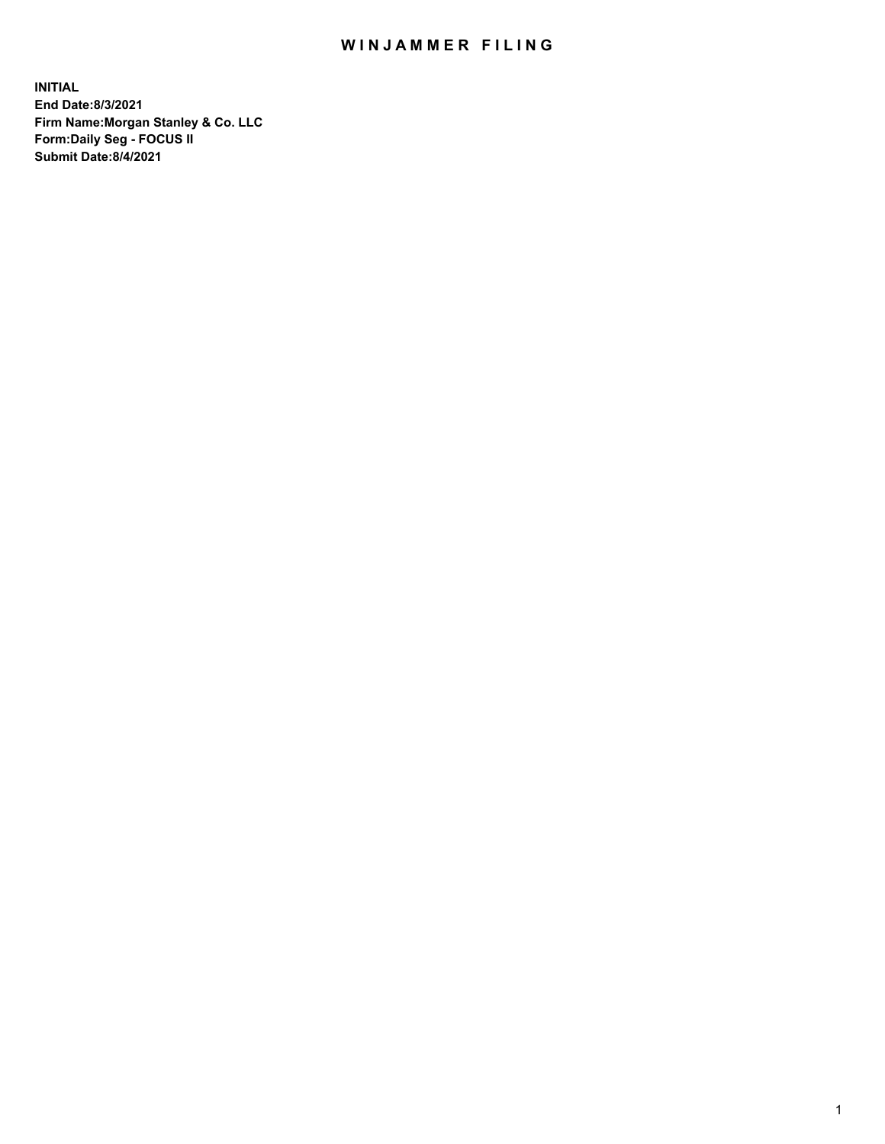## WIN JAMMER FILING

**INITIAL End Date:8/3/2021 Firm Name:Morgan Stanley & Co. LLC Form:Daily Seg - FOCUS II Submit Date:8/4/2021**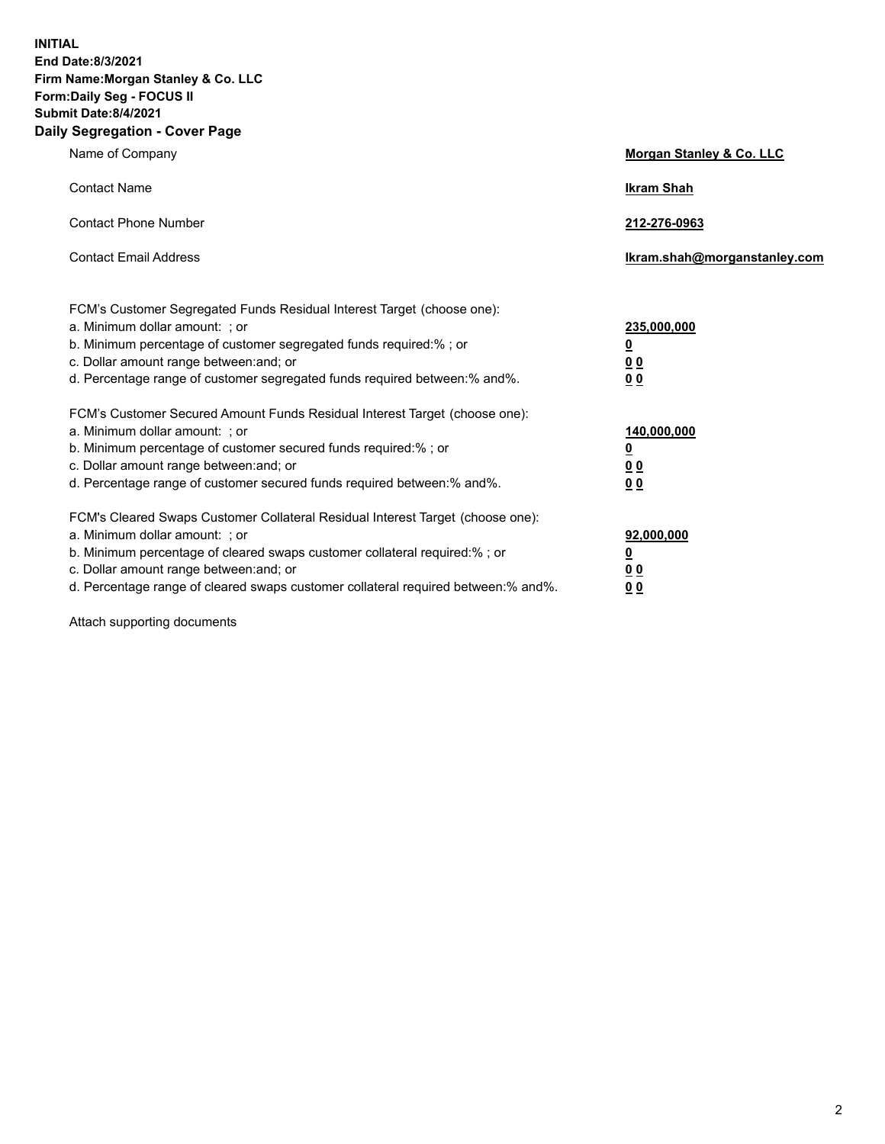**INITIAL End Date:8/3/2021 Firm Name:Morgan Stanley & Co. LLC Form:Daily Seg - FOCUS II Submit Date:8/4/2021 Daily Segregation - Cover Page**

| Name of Company                                                                                                                                                                                                                                                                                                                | Morgan Stanley & Co. LLC                                   |
|--------------------------------------------------------------------------------------------------------------------------------------------------------------------------------------------------------------------------------------------------------------------------------------------------------------------------------|------------------------------------------------------------|
| <b>Contact Name</b>                                                                                                                                                                                                                                                                                                            | <b>Ikram Shah</b>                                          |
| <b>Contact Phone Number</b>                                                                                                                                                                                                                                                                                                    | 212-276-0963                                               |
| <b>Contact Email Address</b>                                                                                                                                                                                                                                                                                                   | lkram.shah@morganstanley.com                               |
| FCM's Customer Segregated Funds Residual Interest Target (choose one):<br>a. Minimum dollar amount: ; or<br>b. Minimum percentage of customer segregated funds required:% ; or<br>c. Dollar amount range between: and; or<br>d. Percentage range of customer segregated funds required between:% and%.                         | 235,000,000<br><u>0</u><br><u>00</u><br>0 <sup>0</sup>     |
| FCM's Customer Secured Amount Funds Residual Interest Target (choose one):<br>a. Minimum dollar amount: ; or<br>b. Minimum percentage of customer secured funds required:%; or<br>c. Dollar amount range between: and; or<br>d. Percentage range of customer secured funds required between:% and%.                            | 140,000,000<br><u>0</u><br><u>0 0</u><br>0 Q               |
| FCM's Cleared Swaps Customer Collateral Residual Interest Target (choose one):<br>a. Minimum dollar amount: ; or<br>b. Minimum percentage of cleared swaps customer collateral required:% ; or<br>c. Dollar amount range between: and; or<br>d. Percentage range of cleared swaps customer collateral required between:% and%. | 92,000,000<br><u>0</u><br>0 <sup>0</sup><br>0 <sub>0</sub> |

Attach supporting documents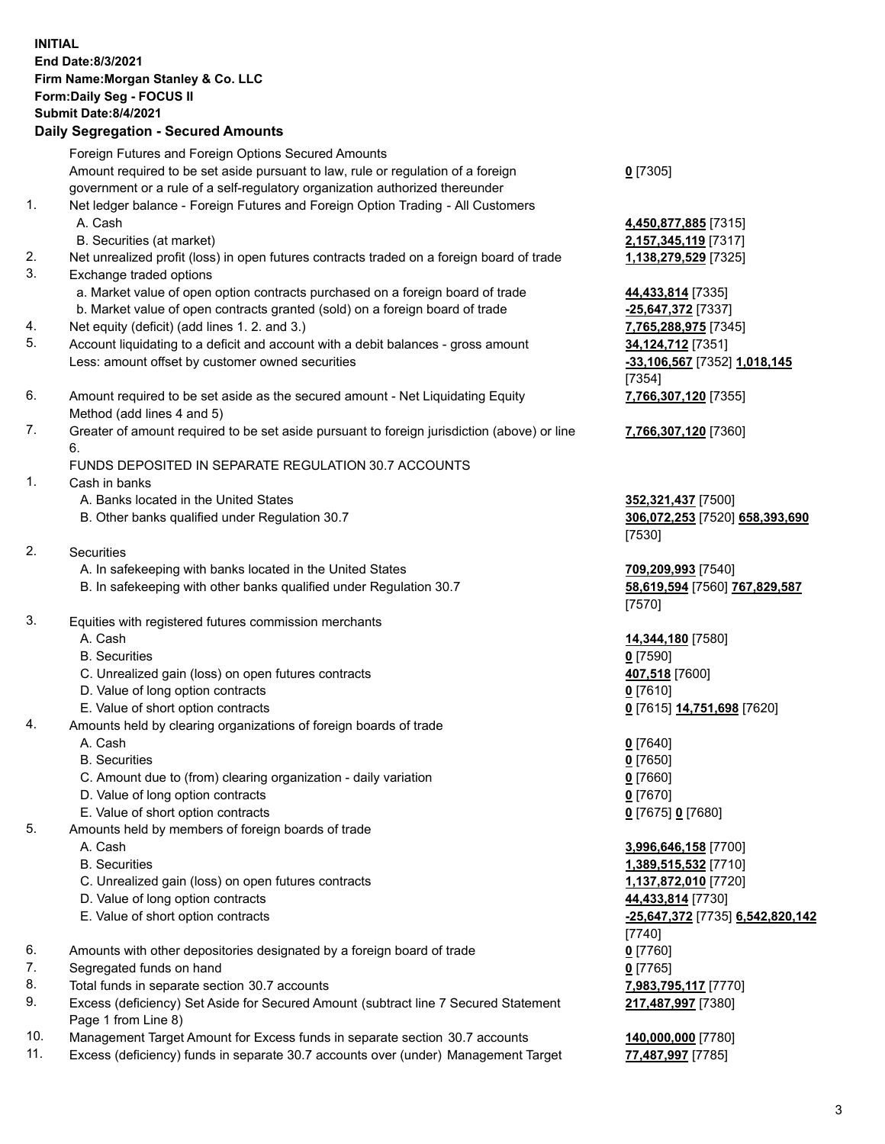| <b>INITIAL</b> | <b>End Date:8/3/2021</b><br>Firm Name: Morgan Stanley & Co. LLC<br>Form: Daily Seg - FOCUS II<br><b>Submit Date: 8/4/2021</b><br><b>Daily Segregation - Secured Amounts</b> |                                              |
|----------------|-----------------------------------------------------------------------------------------------------------------------------------------------------------------------------|----------------------------------------------|
|                | Foreign Futures and Foreign Options Secured Amounts                                                                                                                         |                                              |
|                | Amount required to be set aside pursuant to law, rule or regulation of a foreign                                                                                            | $0$ [7305]                                   |
|                | government or a rule of a self-regulatory organization authorized thereunder                                                                                                |                                              |
| 1.             | Net ledger balance - Foreign Futures and Foreign Option Trading - All Customers                                                                                             |                                              |
|                | A. Cash<br>B. Securities (at market)                                                                                                                                        | 4,450,877,885 [7315]<br>2,157,345,119 [7317] |
| 2.             | Net unrealized profit (loss) in open futures contracts traded on a foreign board of trade                                                                                   | 1,138,279,529 [7325]                         |
| 3.             | Exchange traded options                                                                                                                                                     |                                              |
|                | a. Market value of open option contracts purchased on a foreign board of trade                                                                                              | 44,433,814 [7335]                            |
|                | b. Market value of open contracts granted (sold) on a foreign board of trade                                                                                                | -25,647,372 [7337]                           |
| 4.             | Net equity (deficit) (add lines 1. 2. and 3.)                                                                                                                               | 7,765,288,975 [7345]                         |
| 5.             | Account liquidating to a deficit and account with a debit balances - gross amount                                                                                           | 34,124,712 [7351]                            |
|                | Less: amount offset by customer owned securities                                                                                                                            | -33,106,567 [7352] 1,018,145<br>[7354]       |
| 6.             | Amount required to be set aside as the secured amount - Net Liquidating Equity                                                                                              | 7,766,307,120 [7355]                         |
|                | Method (add lines 4 and 5)                                                                                                                                                  |                                              |
| 7.             | Greater of amount required to be set aside pursuant to foreign jurisdiction (above) or line                                                                                 | 7,766,307,120 [7360]                         |
|                | 6.                                                                                                                                                                          |                                              |
|                | FUNDS DEPOSITED IN SEPARATE REGULATION 30.7 ACCOUNTS                                                                                                                        |                                              |
| 1.             | Cash in banks                                                                                                                                                               |                                              |
|                | A. Banks located in the United States                                                                                                                                       | 352,321,437 [7500]                           |
|                | B. Other banks qualified under Regulation 30.7                                                                                                                              | 306,072,253 [7520] 658,393,690<br>[7530]     |
| 2.             | Securities                                                                                                                                                                  |                                              |
|                | A. In safekeeping with banks located in the United States                                                                                                                   | 709,209,993 [7540]                           |
|                | B. In safekeeping with other banks qualified under Regulation 30.7                                                                                                          | 58,619,594 [7560] 767,829,587                |
|                |                                                                                                                                                                             | [7570]                                       |
| 3.             | Equities with registered futures commission merchants                                                                                                                       |                                              |
|                | A. Cash                                                                                                                                                                     | 14,344,180 [7580]                            |
|                | <b>B.</b> Securities<br>C. Unrealized gain (loss) on open futures contracts                                                                                                 | $0$ [7590]<br>407,518 [7600]                 |
|                | D. Value of long option contracts                                                                                                                                           | 0[7610]                                      |
|                | E. Value of short option contracts                                                                                                                                          | 0 [7615] 14,751,698 [7620]                   |
| 4.             | Amounts held by clearing organizations of foreign boards of trade                                                                                                           |                                              |
|                | A. Cash                                                                                                                                                                     | $0$ [7640]                                   |
|                | <b>B.</b> Securities                                                                                                                                                        | $0$ [7650]                                   |
|                | C. Amount due to (from) clearing organization - daily variation                                                                                                             | $0$ [7660]                                   |
|                | D. Value of long option contracts<br>E. Value of short option contracts                                                                                                     | $0$ [7670]<br>0 [7675] 0 [7680]              |
| 5.             | Amounts held by members of foreign boards of trade                                                                                                                          |                                              |
|                | A. Cash                                                                                                                                                                     | 3,996,646,158 [7700]                         |
|                | <b>B.</b> Securities                                                                                                                                                        | 1,389,515,532 [7710]                         |
|                | C. Unrealized gain (loss) on open futures contracts                                                                                                                         | 1,137,872,010 [7720]                         |
|                | D. Value of long option contracts                                                                                                                                           | 44,433,814 [7730]                            |
|                | E. Value of short option contracts                                                                                                                                          | -25,647,372 [7735] 6,542,820,142             |
| 6.             | Amounts with other depositories designated by a foreign board of trade                                                                                                      | $[7740]$<br>$0$ [7760]                       |
| 7.             | Segregated funds on hand                                                                                                                                                    | $0$ [7765]                                   |
| 8.             | Total funds in separate section 30.7 accounts                                                                                                                               | 7,983,795,117 [7770]                         |
| 9.             | Excess (deficiency) Set Aside for Secured Amount (subtract line 7 Secured Statement                                                                                         | 217,487,997 [7380]                           |
|                | Page 1 from Line 8)                                                                                                                                                         |                                              |

- 10. Management Target Amount for Excess funds in separate section 30.7 accounts **140,000,000** [7780]
- 11. Excess (deficiency) funds in separate 30.7 accounts over (under) Management Target **77,487,997** [7785]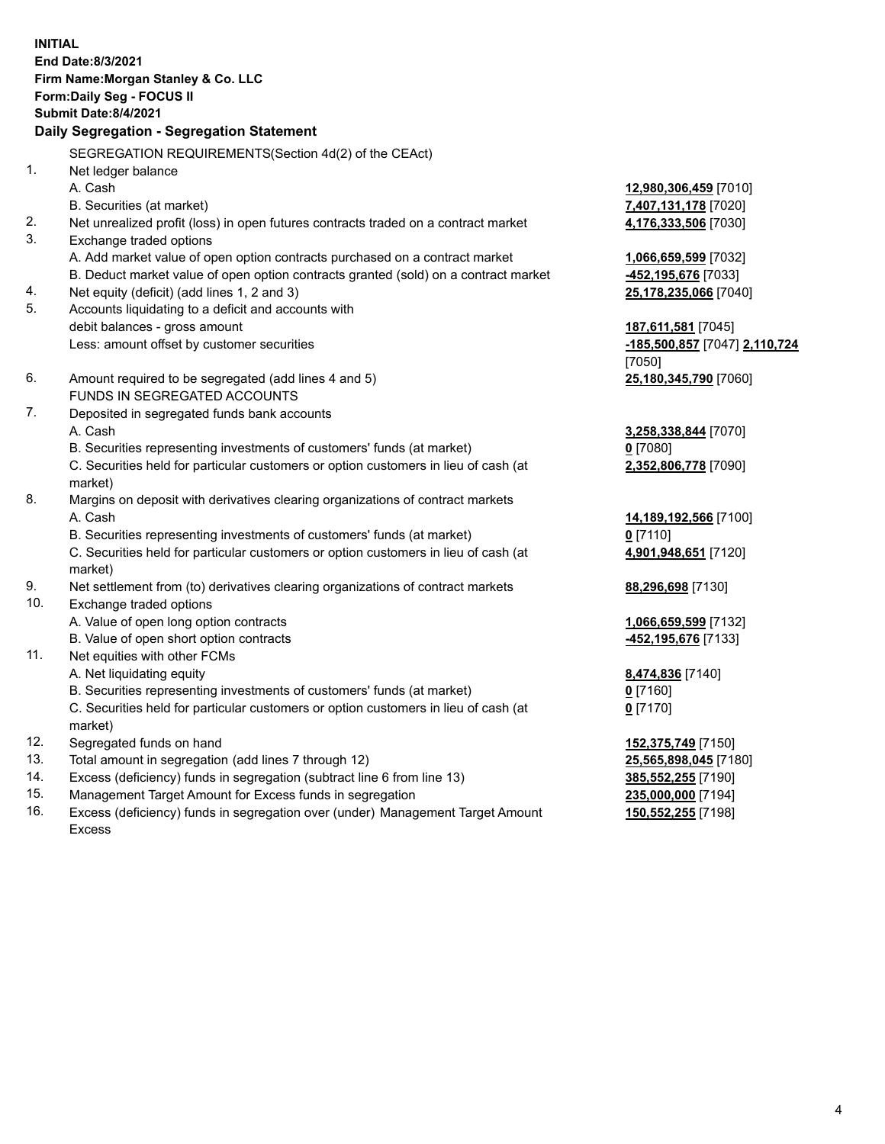**INITIAL End Date:8/3/2021 Firm Name:Morgan Stanley & Co. LLC Form:Daily Seg - FOCUS II Submit Date:8/4/2021 Daily Segregation - Segregation Statement** SEGREGATION REQUIREMENTS(Section 4d(2) of the CEAct) 1. Net ledger balance A. Cash **12,980,306,459** [7010] B. Securities (at market) **7,407,131,178** [7020] 2. Net unrealized profit (loss) in open futures contracts traded on a contract market **4,176,333,506** [7030] 3. Exchange traded options A. Add market value of open option contracts purchased on a contract market **1,066,659,599** [7032] B. Deduct market value of open option contracts granted (sold) on a contract market **-452,195,676** [7033] 4. Net equity (deficit) (add lines 1, 2 and 3) **25,178,235,066** [7040] 5. Accounts liquidating to a deficit and accounts with debit balances - gross amount **187,611,581** [7045] Less: amount offset by customer securities **-185,500,857** [7047] **2,110,724** [7050] 6. Amount required to be segregated (add lines 4 and 5) **25,180,345,790** [7060] FUNDS IN SEGREGATED ACCOUNTS 7. Deposited in segregated funds bank accounts A. Cash **3,258,338,844** [7070] B. Securities representing investments of customers' funds (at market) **0** [7080] C. Securities held for particular customers or option customers in lieu of cash (at market) **2,352,806,778** [7090] 8. Margins on deposit with derivatives clearing organizations of contract markets A. Cash **14,189,192,566** [7100] B. Securities representing investments of customers' funds (at market) **0** [7110] C. Securities held for particular customers or option customers in lieu of cash (at market) **4,901,948,651** [7120] 9. Net settlement from (to) derivatives clearing organizations of contract markets **88,296,698** [7130] 10. Exchange traded options A. Value of open long option contracts **1,066,659,599** [7132] B. Value of open short option contracts **-452,195,676** [7133] 11. Net equities with other FCMs A. Net liquidating equity **8,474,836** [7140] B. Securities representing investments of customers' funds (at market) **0** [7160] C. Securities held for particular customers or option customers in lieu of cash (at market) **0** [7170] 12. Segregated funds on hand **152,375,749** [7150] 13. Total amount in segregation (add lines 7 through 12) **25,565,898,045** [7180] 14. Excess (deficiency) funds in segregation (subtract line 6 from line 13) **385,552,255** [7190] 15. Management Target Amount for Excess funds in segregation **235,000,000** [7194]

16. Excess (deficiency) funds in segregation over (under) Management Target Amount Excess

**150,552,255** [7198]